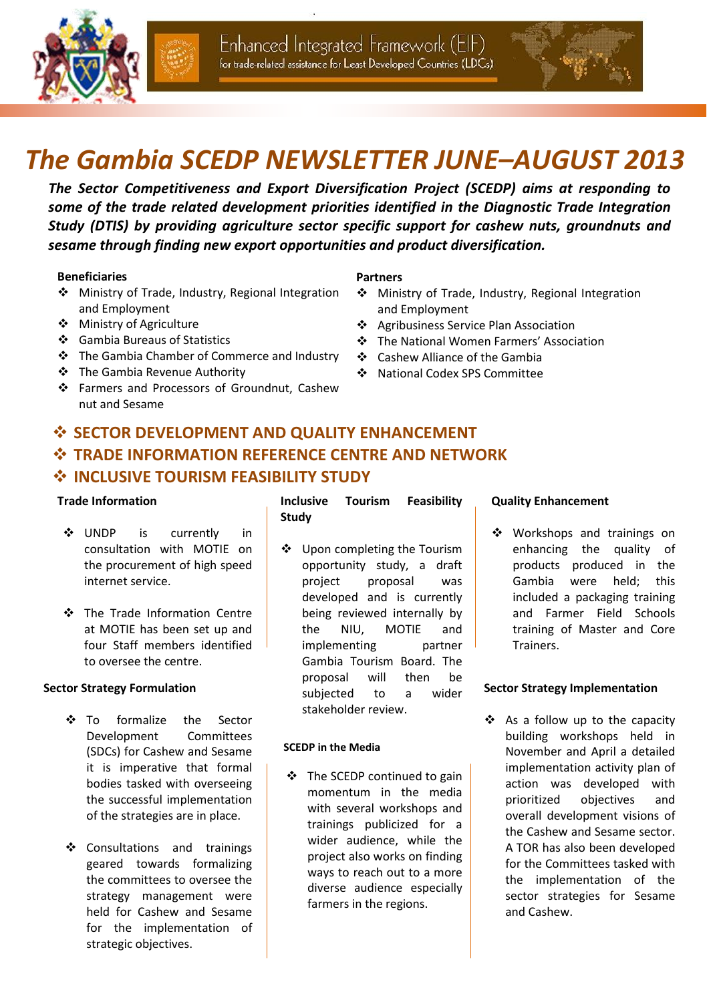





# *The Gambia SCEDP NEWSLETTER JUNE–AUGUST 2013*

*The Sector Competitiveness and Export Diversification Project (SCEDP) aims at responding to some of the trade related development priorities identified in the Diagnostic Trade Integration Study (DTIS) by providing agriculture sector specific support for cashew nuts, groundnuts and sesame through finding new export opportunities and product diversification.* 

#### **Beneficiaries**

- Ministry of Trade, Industry, Regional Integration and Employment
- Ministry of Agriculture
- Gambia Bureaus of Statistics
- The Gambia Chamber of Commerce and Industry
- The Gambia Revenue Authority
- Farmers and Processors of Groundnut, Cashew nut and Sesame

#### **Partners**

- Ministry of Trade, Industry, Regional Integration and Employment
- Agribusiness Service Plan Association
- The National Women Farmers' Association
- Cashew Alliance of the Gambia
- National Codex SPS Committee

## **SECTOR DEVELOPMENT AND QUALITY ENHANCEMENT TRADE INFORMATION REFERENCE CENTRE AND NETWORK INCLUSIVE TOURISM FEASIBILITY STUDY**

#### **Trade Information**

- UNDP is currently in consultation with MOTIE on the procurement of high speed internet service.
- The Trade Information Centre at MOTIE has been set up and four Staff members identified to oversee the centre.

#### **Sector Strategy Formulation**

- To formalize the Sector Development Committees (SDCs) for Cashew and Sesame it is imperative that formal bodies tasked with overseeing the successful implementation of the strategies are in place.
- ❖ Consultations and trainings geared towards formalizing the committees to oversee the strategy management were held for Cashew and Sesame for the implementation of strategic objectives.

#### **Inclusive Tourism Feasibility Study**

 Upon completing the Tourism opportunity study, a draft project proposal was developed and is currently being reviewed internally by the NIU, MOTIE and implementing partner Gambia Tourism Board. The proposal will then be subjected to a wider stakeholder review.

#### **SCEDP in the Media**

 The SCEDP continued to gain momentum in the media with several workshops and trainings publicized for a wider audience, while the project also works on finding ways to reach out to a more diverse audience especially farmers in the regions.

#### **Quality Enhancement**

❖ Workshops and trainings on enhancing the quality of products produced in the Gambia were held; this included a packaging training and Farmer Field Schools training of Master and Core Trainers.

#### **Sector Strategy Implementation**

❖ As a follow up to the capacity building workshops held in November and April a detailed implementation activity plan of action was developed with prioritized objectives and overall development visions of the Cashew and Sesame sector. A TOR has also been developed for the Committees tasked with the implementation of the sector strategies for Sesame and Cashew.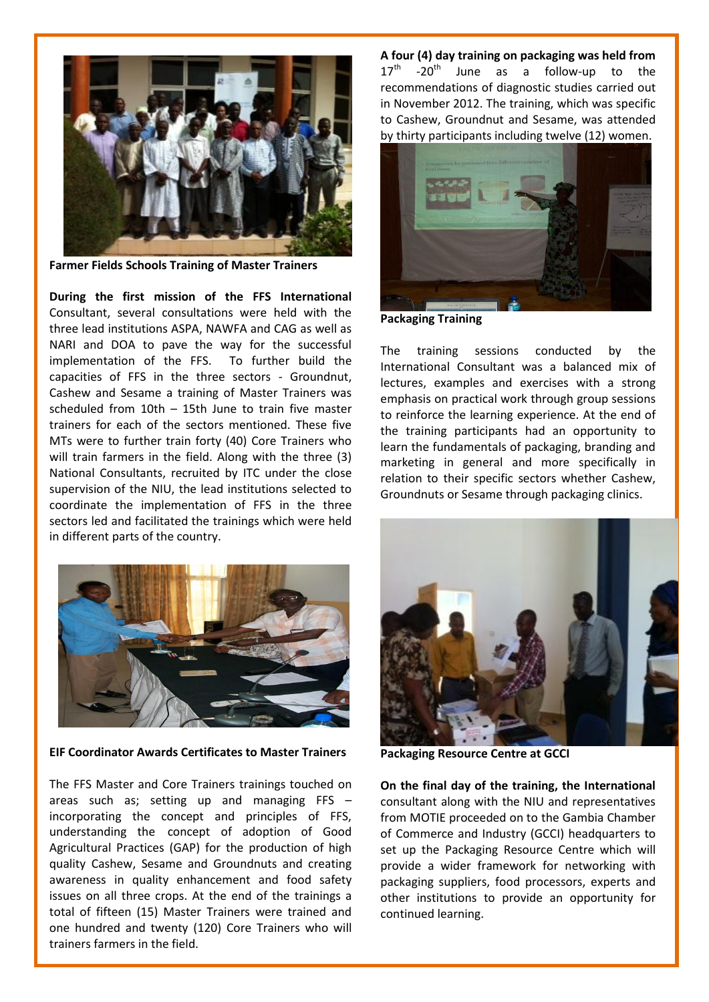

**Farmer Fields Schools Training of Master Trainers** 

**During the first mission of the FFS International**  Consultant, several consultations were held with the three lead institutions ASPA, NAWFA and CAG as well as NARI and DOA to pave the way for the successful implementation of the FFS. To further build the capacities of FFS in the three sectors - Groundnut, Cashew and Sesame a training of Master Trainers was scheduled from 10th – 15th June to train five master trainers for each of the sectors mentioned. These five MTs were to further train forty (40) Core Trainers who will train farmers in the field. Along with the three (3) National Consultants, recruited by ITC under the close supervision of the NIU, the lead institutions selected to coordinate the implementation of FFS in the three sectors led and facilitated the trainings which were held in different parts of the country.



**EIF Coordinator Awards Certificates to Master Trainers** 

The FFS Master and Core Trainers trainings touched on areas such as; setting up and managing FFS – incorporating the concept and principles of FFS, understanding the concept of adoption of Good Agricultural Practices (GAP) for the production of high quality Cashew, Sesame and Groundnuts and creating awareness in quality enhancement and food safety issues on all three crops. At the end of the trainings a total of fifteen (15) Master Trainers were trained and one hundred and twenty (120) Core Trainers who will trainers farmers in the field.

**A four (4) day training on packaging was held from**   $17<sup>th</sup>$  -20<sup>th</sup> June as a follow-up to the recommendations of diagnostic studies carried out in November 2012. The training, which was specific to Cashew, Groundnut and Sesame, was attended by thirty participants including twelve (12) women.



**Packaging Training** 

The training sessions conducted by the International Consultant was a balanced mix of lectures, examples and exercises with a strong emphasis on practical work through group sessions to reinforce the learning experience. At the end of the training participants had an opportunity to learn the fundamentals of packaging, branding and marketing in general and more specifically in relation to their specific sectors whether Cashew, Groundnuts or Sesame through packaging clinics.



**Packaging Resource Centre at GCCI**

**On the final day of the training, the International** consultant along with the NIU and representatives from MOTIE proceeded on to the Gambia Chamber of Commerce and Industry (GCCI) headquarters to set up the Packaging Resource Centre which will provide a wider framework for networking with packaging suppliers, food processors, experts and other institutions to provide an opportunity for continued learning.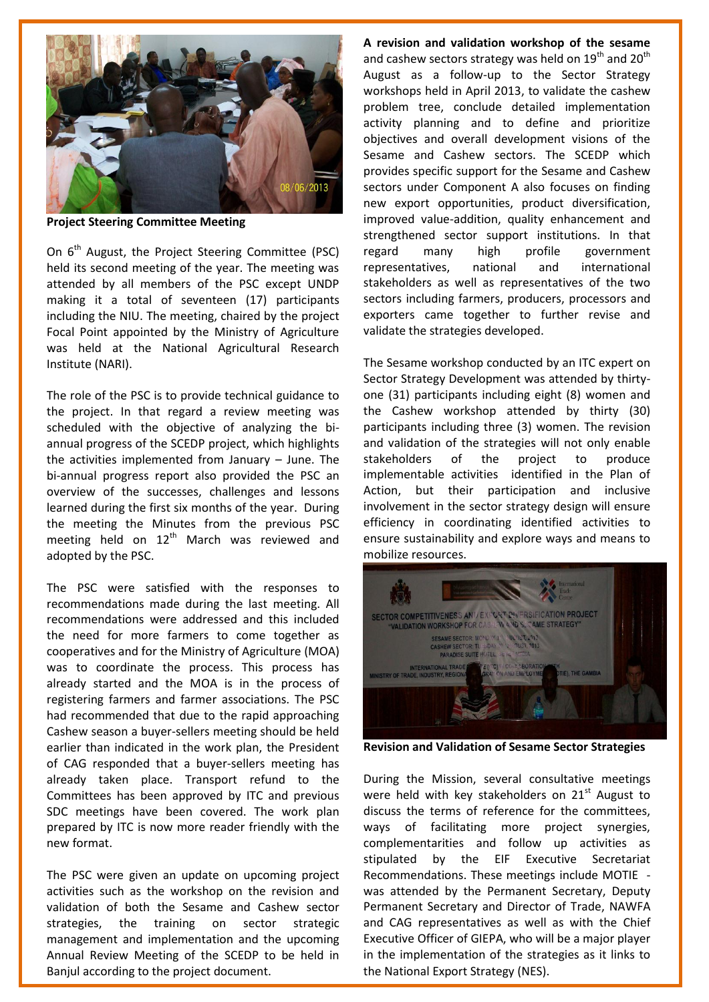

**Project Steering Committee Meeting**

On 6<sup>th</sup> August, the Project Steering Committee (PSC) held its second meeting of the year. The meeting was attended by all members of the PSC except UNDP making it a total of seventeen (17) participants including the NIU. The meeting, chaired by the project Focal Point appointed by the Ministry of Agriculture was held at the National Agricultural Research Institute (NARI).

The role of the PSC is to provide technical guidance to the project. In that regard a review meeting was scheduled with the objective of analyzing the biannual progress of the SCEDP project, which highlights the activities implemented from January  $-$  June. The bi-annual progress report also provided the PSC an overview of the successes, challenges and lessons learned during the first six months of the year. During the meeting the Minutes from the previous PSC meeting held on  $12<sup>th</sup>$  March was reviewed and adopted by the PSC.

The PSC were satisfied with the responses to recommendations made during the last meeting. All recommendations were addressed and this included the need for more farmers to come together as cooperatives and for the Ministry of Agriculture (MOA) was to coordinate the process. This process has already started and the MOA is in the process of registering farmers and farmer associations. The PSC had recommended that due to the rapid approaching Cashew season a buyer-sellers meeting should be held earlier than indicated in the work plan, the President of CAG responded that a buyer-sellers meeting has already taken place. Transport refund to the Committees has been approved by ITC and previous SDC meetings have been covered. The work plan prepared by ITC is now more reader friendly with the new format.

The PSC were given an update on upcoming project activities such as the workshop on the revision and validation of both the Sesame and Cashew sector strategies, the training on sector strategic management and implementation and the upcoming Annual Review Meeting of the SCEDP to be held in Banjul according to the project document.

**A revision and validation workshop of the sesame** and cashew sectors strategy was held on  $19<sup>th</sup>$  and  $20<sup>th</sup>$ August as a follow-up to the Sector Strategy workshops held in April 2013, to validate the cashew problem tree, conclude detailed implementation activity planning and to define and prioritize objectives and overall development visions of the Sesame and Cashew sectors. The SCEDP which provides specific support for the Sesame and Cashew sectors under Component A also focuses on finding new export opportunities, product diversification, improved value-addition, quality enhancement and strengthened sector support institutions. In that regard many high profile government representatives, national and international stakeholders as well as representatives of the two sectors including farmers, producers, processors and exporters came together to further revise and validate the strategies developed.

The Sesame workshop conducted by an ITC expert on Sector Strategy Development was attended by thirtyone (31) participants including eight (8) women and the Cashew workshop attended by thirty (30) participants including three (3) women. The revision and validation of the strategies will not only enable stakeholders of the project to produce implementable activities identified in the Plan of Action, but their participation and inclusive involvement in the sector strategy design will ensure efficiency in coordinating identified activities to ensure sustainability and explore ways and means to mobilize resources.



**Revision and Validation of Sesame Sector Strategies** 

During the Mission, several consultative meetings were held with key stakeholders on  $21<sup>st</sup>$  August to discuss the terms of reference for the committees, ways of facilitating more project synergies, complementarities and follow up activities as stipulated by the EIF Executive Secretariat Recommendations. These meetings include MOTIE was attended by the Permanent Secretary, Deputy Permanent Secretary and Director of Trade, NAWFA and CAG representatives as well as with the Chief Executive Officer of GIEPA, who will be a major player in the implementation of the strategies as it links to the National Export Strategy (NES).